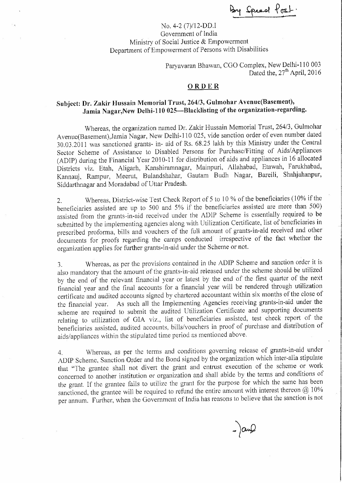By Speed Post

No. 4-2 (7)/12-DD.I Government of India Ministry of Social Justice & Empowerment Department of Empowerment of Persons with Disabilities

> Paryavaran Bhawan, CGO Complex, New Delhi-110 003 Dated the, 27<sup>th</sup> April, 2016

## **ORDER**

## **Subject: Dr. Zakir Hussain Memorial Trust, 264/3, Gulmohar Avenue(Basement), Jamia Nagar,New Delhi-110 025-Blacklisting of the organization-regarding.**

Whereas, the organization named Dr. Zakir Hussain Memorial Trust, 264/3, Gulmohar Avenue(Basement),Jamia Nagar, New Delhi-110 025, vide sanction order of even number dated 30.03.2011 was sanctioned grants- in- aid of Rs. 68.25 lakh by this Ministry under the Central Sector Scheme of Assistance to Disabled Persons for Purchase/Fitting of Aids/Appliances (ADIP) during the Financial Year 2010-11 for distribution of aids and appliances in 16 allocated Districts viz. Etah, Aligarh, Kanshiramnagar, Mainpuri, Allahabad, Etawah, Farukhabad, Kannauj, Rarnpur, Meerut, Bulandshahar, Gautam Budh Nagar, Bareili, Shahjahanpur, Siddarthnagar and Moradabad of Uttar Pradesh.

2. Whereas, District-wise Test Check Report of 5 to 10 % of the beneficiaries (10% if the beneficiaries assisted are up to 500 and 5% if the beneficiaries assisted are more than 500) assisted from the grants-in-aid received under the ADIP Scheme is essentially required to be submitted by the implementing agencies along with Utilization Certificate, list of beneficiaries in prescribed proforma, bills and vouchers of the full amount of grants-in-aid received and other documents for proofs regarding the camps conducted irrespective of the fact whether the organization applies for further grants-in-aid under the Scheme or not.

3. Whereas, as per the provisions contained in the ADIP Scheme and sanction order it is also mandatory that the amount of the grants-in-aid released under the scheme should be utilized by the end of the relevant financial year or latest by the end of the first quarter of the next financial year and the final accounts for a financial year will be rendered through utilization certificate and audited accounts signed by chartered accountant within six months of the close of the financial year. As such all the Implementing Agencies receiving grants-in-aid under the scheme are required to submit the audited Utilization Certificate and supporting documents relating to utilization of GIA viz., list of beneficiaries assisted, test check report of the beneficiaries assisted, audited accounts, bills/vouchers in proof of purchase and distribution of aids/appliances within the stipulated time period as mentioned above.

4. Whereas, as per the terms and conditions governing release of grants-in-aid under ADIP Scheme. Sanction Order and the Bond signed by the organization which inter-alia stipulate that "The grantee shall not divert the grant and entrust execution of the scheme or work concerned to another institution or organization and shall abide by the terms and conditions of the grant. If the grantee fails to utilize the grant for the purpose for which the same has been sanctioned, the grantee will be required to refund the entire amount with interest thereon  $@10\%$ per annum. Further, when the Government of India has reasons to believe that the sanction is not

 $-)$ an $Q$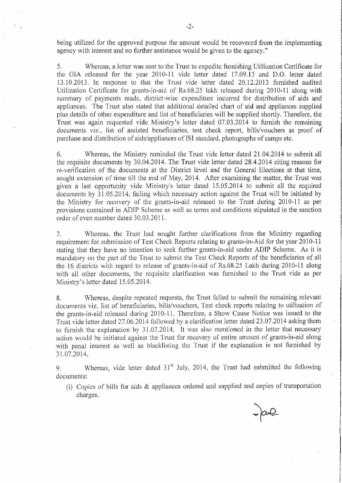being utilized for the approved purpose the amount would be recovered from the implementing agency with interest and no further assistance would be given to the agency."

5. Whereas, a letter was sent to the Trust to expedite furnishing Utilization Certificate for the GIA released for the year 2010-11 vide letter dated 17.09.13 and D.O. letter dated 13.10.2013. In response to that the Trust vide letter dated 20.12.2013 furnished audited Utilization Certificate for grants-in-aid of Rs .68 .25 lakh released during 2010-11 along with summary of payments made, district-wise expenditure incurred for distribution of aids and appliances. The Trust also stated that additional detailed chart of aid and appliances supplied plus details of other expenditure and list of beneficiaries will be supplied shortly. Therefore, the Trust was again requested vide Ministry's letter dated 07.03.2014 to furnish the remaining documents viz., list of assisted beneficiaries, test check report, bills/vouchers as proof of purchase and distribution of aids/appliances of ISI standard, photographs of camps etc.

6. Whereas, the Ministry reminded the Trust vide letter dated 21.04.2014 to submit. all the requisite documents by 30.04.2014. The Trust vide letter dated 28.4.2014 citing reasons for re-verification of the documents at the District level and the General Elections at that time, sought extension of time till the end of May, 2014. After examining the matter, the Trust was given a last opportunity vide Ministry's letter dated 15.05.2014 to submit all the required documents by 31.05.2014, failing which necessary action against the Trust will be initiated by the Ministry for recovery of the grants-in-aid released to the Trust during 2010-11 as per provisions contained in ADIP Scheme as well as terms and conditions stipulated in the sanction order of even number dated 30.03.2011.

7. Whereas, the Trust had sought further clarifications from the Ministry regarding requirement for submission of Test Check Reports relating to grants-in-Aid for the year 2010- 11 stating that they have no intention to seek further grants-in-aid under ADIP Scheme. As it is mandatory on the part of the Trust to submit the Test Check Reports of the beneficiaries of all the 16 districts with regard to release of grants-in-aid of Rs.68.25 Lakh during 2010-11 along with all other documents, the requisite clarification was furnished to the Trust vide as per Ministry's letter dated 15.05.2014.

8. Whereas, despite repeated requests, the Trust failed to submit the remaining relevant documents viz. list of beneficiaries, bills/vouchers, Test check reports relating to utilization of the grants-in-aid released during 2010-11. Therefore, a Show Cause Notice was issued to the Trust vide letter dated 27.06.2014 followed by a clarification letter dated 23.07.2014 asking them to furnish the explanation by 31.07.2014. It was also mentioned in the letter that necessary action would be initiated against the Trust for recovery of entire amount of grants-in-aid along with penal interest as well as blacklisting the Trust if the explanation is not furnished by 31.07.2014.

9. Whereas, vide letter dated  $31<sup>st</sup>$  July, 2014, the Trust had submitted the following documents:

(i) Copies of bills for aids & appliances ordered and supplied and copies of transportation charges.

 $= 200$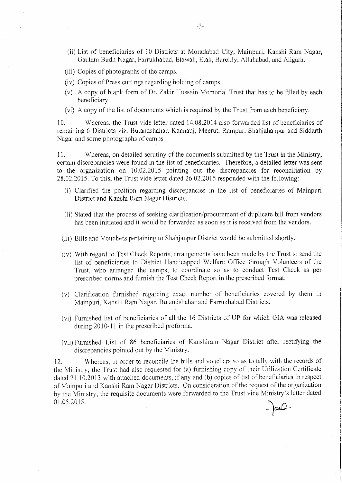- (ii) List of beneficiaries of 10 Districts at Moradabad City, Mainpuri, Kanshi Ram Nagar, Gautam Budh Nagar, Farrukhabad, Etawah, Etah, Bareilly, Allahabad, and Aligarh.
- (iii) Copies of photographs of the camps.
- (iv) Copies of Press cuttings regarding holding of camps.
- (v) A copy of blank form of Dr. Zakir Hussain Memorial Trust that has to be filled by each beneficiary.
- (vi) A copy of the list of documents which is required by the Trust from each beneficiary.

l 0. Whereas, the Trust vide letter dated 14.08.2014 also forwarded list of beneficiaries of remaining 6 Districts viz. Bulandshahar, Kannauj, Meerut, Rampur, Shahjahanpur and Siddarth Nagar and some photographs of camps.

11. Whereas, on detailed scrutiny of the documents submitted by the Trust in the Ministry, certain discrepancies were found in the list of beneficiaries. Therefore, a detailed letter was sent to the organization on 10.02.2015 pointing out the discrepancies for reconciliation by 28.02.2015. To this, the Trust vide letter dated 26.02.2015 responded with the following:

- (i) Clarified the position regarding discrepancies in the list of beneficiaries of Mainpuri District and Kanshi Ram Nagar Districts.
- (ii) Stated that the process of seeking clarification/procurement of duplicate bill from vendors has been initiated and it would be forwarded as soon as it is received from the vendors.
- (iii) Bills and Vouchers pertaining to Shahjanpur District would be submitted shortly.
- (iv) With regard to Test Check Reports, arrangements have been made by the Trust to send the list of beneficiaries to District Handicapped Welfare Office through Volunteers of the Trust, who arranged the camps, to coordinate so as to conduct Test Check as per prescribed norms and furnish the Test Check Report in the prescribed format.
- $(v)$  Clarification furnished regarding exact number of beneficiaries covered by them in Mainpuri, Kanshi Ram Nagar, Bulandshahar and Farrukhabad Districts.
- (vi) Furnished list of beneficiaries of all the 16 Districts of UP for which GIA was released during 2010-11 in the prescribed proforma.
- (vii) Furnished List of 86 beneficiaries of Kanshiram Nagar District after rectifying the discrepancies pointed out by the Ministry.

12. Whereas, in order to reconcile the bills and vouchers so as to tally with the records of the Ministry, the Trust had also requested for (a) furnishing copy of their Utilization Certificate dated 21.10.2013 with attached documents, if any and (b) copies of list of beneficiaries in respect of Mainpuri and Kanshi Ram Nagar Districts. On consideration of the request of the organization by the Ministry, the requisite documents were forwarded to the Trust vide Ministry's letter dated 01.05.2015.  $\int \frac{1}{\sqrt{1-x^2}}$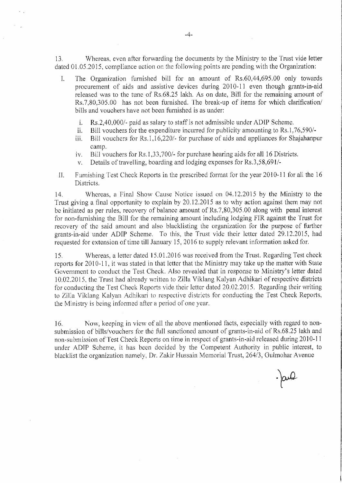13. Whereas, even after forwarding the documents by the Ministry to the Trust vide letter dated 01.05.2015, compliance action on the following points are pending with the Organization:

- I. The Organization furnished bill for an amount of Rs.60,44,695.00 only towards procurement of aids and assistive devices during 2010-11 even though grants-in-aid released was to the tune of Rs.68.25 lakh, As on date, Bill for the remaining amount of Rs.7,80,305.00 has not been furnished. The break-up of items for which clarification/ bills and vouchers have not been furnished is as under:
	- 1. Rs.2,40,000/- paid as salary to staff is not admissible under ADIP Scheme.
	- ii. Bill vouchers for the expenditure incurred for publicity amounting to Rs.1,76,590/-
	- iii. Bill vouchers for Rs. I, 16,220/- for purchase of aids and appliances for Shajahanpur camp.
	- tv. Bill vouchers for Rs. 1,33,700/- for purchase hearing aids for all 16 Districts.
	- v. Details of travelling, boarding and lodging expenses for Rs.3,58,691/-
- II. Furnishing Test Check Reports in the prescribed format for the year 2010-11 for all the 16 Districts.

14. Whereas, a Final Show Cause Notice issued on 04.12.2015 by the Ministry to the Trust giving a final opportunity to explain by 20.12.2015 as to why action against them may not be initiated as per rules, recovery of balance amount of Rs.7,80,305.00 along with penal interest for non-furnishing the Bill for the remaining amount including lodging FIR against the Trust for recovery of the said amount and also blacklisting the organization for the purpose of further grants-in-aid under ADIP Scheme. To this, the Trust vide their letter dated 29.12.2015, had requested for extension of time till January 15, 2016 to supply relevant information asked for.

15. Whereas, a letter dated 15.01.2016 was received from the Trust. Regarding Test check reports for 2010-11, it was stated in that letter that the Ministry may take up the matter with State Government to conduct the Test Check. Also revealed that in response to Ministry's letter dated 10.02.2015, the Trust had already written to Zilla Viklang Kalyan Adhikari of respective districts for conducting the Test Check Reports vide their letter dated 20.02.2015. Regarding their writing to Zilla Viklang Kalyan Adhikari to respective districts for conducting the Test Check Reports, the Ministry is being informed after a period of one year.

16. Now, keeping in view of all the above mentioned facts, especially with regard to nonsubmission of bills/vouchers for the full sanctioned amount of grants-in-aid of Rs.68.25 lakh and non-submission of Test Check Reports on time in respect of grants-in-aid released during 2010-11 under ADIP Scheme, it has been decided by the Competent Authority in public interest, to blacklist the organization namely, Dr. Zakir Hussain Memorial Trust, 264/3, Gulmohar A venue

 $\cdot$  and